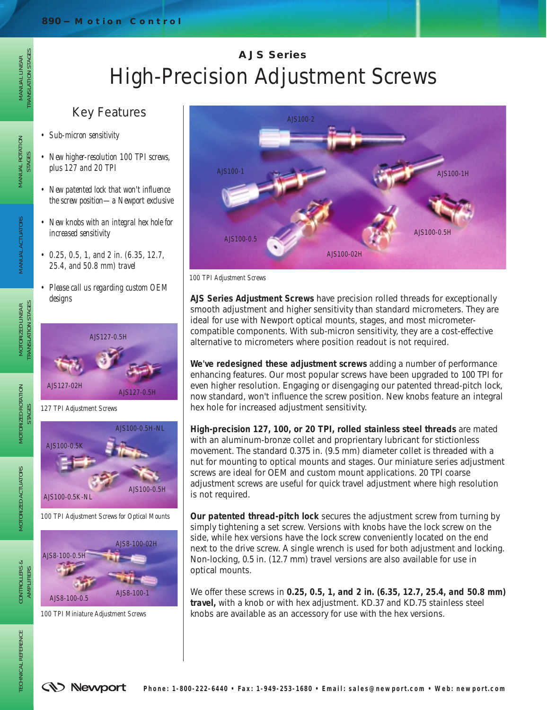# **AJS Series** High-Precision Adjustment Screws

### Key Features

*• Sub-micron sensitivity*

MANUAL LINEAR TRANSLATION STAGES

MANUAL LINEAR<br>TRANSLATION STAGES

MANUAL ROTATION<br>STAGES

MOTORIZED LINEAR TRANSLATION STAGES

MOTORIZED LINEAR<br>TRANSLATION STAGES

MANUAL ACTUATORS

MANUAL ACTUATORS

MOTORIZED ROTATION STAGES

MOTORIZED ROTATION

MOTORIZED ACTUATORS

MOTORIZED ACTUATORS

- *New higher-resolution 100 TPI screws, plus 127 and 20 TPI*
- *New patented lock that won't influence the screw position—a Newport exclusive*
- *New knobs with an integral hex hole for increased sensitivity*
- *0.25, 0.5, 1, and 2 in. (6.35, 12.7, 25.4, and 50.8 mm) travel*
- *Please call us regarding custom OEM designs*







*100 TPI Miniature Adjustment Screws*



*100 TPI Adjustment Screws*

**AJS Series Adjustment Screws** have precision rolled threads for exceptionally smooth adjustment and higher sensitivity than standard micrometers. They are ideal for use with Newport optical mounts, stages, and most micrometercompatible components. With sub-micron sensitivity, they are a cost-effective alternative to micrometers where position readout is not required.

**We've redesigned these adjustment screws** adding a number of performance enhancing features. Our most popular screws have been upgraded to 100 TPI for even higher resolution. Engaging or disengaging our patented thread-pitch lock, now standard, won't influence the screw position. New knobs feature an integral hex hole for increased adjustment sensitivity.

**High-precision 127, 100, or 20 TPI, rolled stainless steel threads** are mated with an aluminum-bronze collet and proprientary lubricant for stictionless movement. The standard 0.375 in. (9.5 mm) diameter collet is threaded with a nut for mounting to optical mounts and stages. Our miniature series adjustment screws are ideal for OEM and custom mount applications. 20 TPI coarse adjustment screws are useful for quick travel adjustment where high resolution is not required.

**Our patented thread-pitch lock** secures the adjustment screw from turning by simply tightening a set screw. Versions with knobs have the lock screw on the side, while hex versions have the lock screw conveniently located on the end next to the drive screw. A single wrench is used for both adjustment and locking. Non-locking, 0.5 in. (12.7 mm) travel versions are also available for use in optical mounts.

We offer these screws in **0.25, 0.5, 1, and 2 in. (6.35, 12.7, 25.4, and 50.8 mm) travel,** with a knob or with hex adjustment. KD.37 and KD.75 stainless steel knobs are available as an accessory for use with the hex versions.

AMPLIFIERS

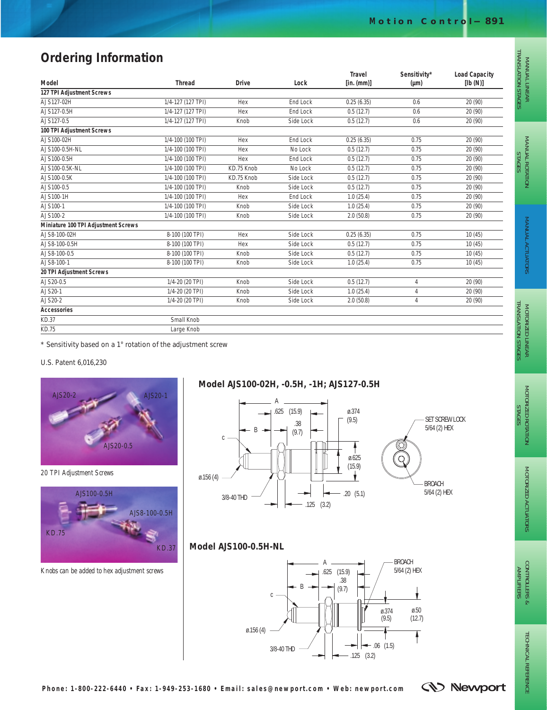## **Ordering Information**

| Model                               | <b>Thread</b>     | <b>Drive</b> | Lock            | <b>Travel</b><br>[in. (mm)] | Sensitivity*<br>$(\mu m)$ | <b>Load Capacity</b><br>[lb(N)] |
|-------------------------------------|-------------------|--------------|-----------------|-----------------------------|---------------------------|---------------------------------|
| 127 TPI Adjustment Screws           |                   |              |                 |                             |                           |                                 |
| AJS127-02H                          | 1/4-127 (127 TPI) | Hex          | <b>End Lock</b> | 0.25(6.35)                  | 0.6                       | 20 (90)                         |
| AJS127-0.5H                         | 1/4-127 (127 TPI) | Hex          | End Lock        | 0.5(12.7)                   | 0.6                       | 20 (90)                         |
| AJS127-0.5                          | 1/4-127 (127 TPI) | Knob         | Side Lock       | 0.5(12.7)                   | 0.6                       | 20 (90)                         |
| 100 TPI Adjustment Screws           |                   |              |                 |                             |                           |                                 |
| AJS100-02H                          | 1/4-100 (100 TPI) | Hex          | End Lock        | 0.25(6.35)                  | 0.75                      | 20 (90)                         |
| AJS100-0.5H-NL                      | 1/4-100 (100 TPI) | Hex          | No Lock         | 0.5(12.7)                   | 0.75                      | 20 (90)                         |
| AJS100-0.5H                         | 1/4-100 (100 TPI) | Hex          | <b>End Lock</b> | 0.5(12.7)                   | 0.75                      | 20 (90)                         |
| AJS100-0.5K-NL                      | 1/4-100 (100 TPI) | KD.75 Knob   | No Lock         | 0.5(12.7)                   | 0.75                      | 20 (90)                         |
| AJS100-0.5K                         | 1/4-100 (100 TPI) | KD.75 Knob   | Side Lock       | 0.5(12.7)                   | 0.75                      | 20 (90)                         |
| AJS100-0.5                          | 1/4-100 (100 TPI) | Knob         | Side Lock       | 0.5(12.7)                   | 0.75                      | 20 (90)                         |
| AJS100-1H                           | 1/4-100 (100 TPI) | Hex          | End Lock        | 1.0(25.4)                   | 0.75                      | 20 (90)                         |
| AJS100-1                            | 1/4-100 (100 TPI) | Knob         | Side Lock       | 1.0(25.4)                   | 0.75                      | 20 (90)                         |
| AJS100-2                            | 1/4-100 (100 TPI) | Knob         | Side Lock       | 2.0(50.8)                   | 0.75                      | 20 (90)                         |
| Miniature 100 TPI Adjustment Screws |                   |              |                 |                             |                           |                                 |
| AJS8-100-02H                        | 8-100 (100 TPI)   | Hex          | Side Lock       | 0.25(6.35)                  | 0.75                      | 10(45)                          |
| AJS8-100-0.5H                       | 8-100 (100 TPI)   | Hex          | Side Lock       | 0.5(12.7)                   | 0.75                      | 10(45)                          |
| AJS8-100-0.5                        | 8-100 (100 TPI)   | Knob         | Side Lock       | 0.5(12.7)                   | 0.75                      | 10(45)                          |
| AJS8-100-1                          | 8-100 (100 TPI)   | Knob         | Side Lock       | 1.0(25.4)                   | 0.75                      | 10(45)                          |
| 20 TPI Adjustment Screws            |                   |              |                 |                             |                           |                                 |
| AJS20-0.5                           | 1/4-20 (20 TPI)   | Knob         | Side Lock       | 0.5(12.7)                   | 4                         | 20 (90)                         |
| AJS20-1                             | 1/4-20 (20 TPI)   | Knob         | Side Lock       | 1.0(25.4)                   | 4                         | 20 (90)                         |
| AJS20-2                             | 1/4-20 (20 TPI)   | Knob         | Side Lock       | 2.0(50.8)                   | 4                         | 20 (90)                         |
| <b>Accessories</b>                  |                   |              |                 |                             |                           |                                 |
| KD.37                               | Small Knob        |              |                 |                             |                           |                                 |
| <b>KD.75</b>                        | Large Knob        |              |                 |                             |                           |                                 |

\* Sensitivity based on a 1° rotation of the adjustment screw

#### U.S. Patent 6,016,230



*20 TPI Adjustment Screws*



*Knobs can be added to hex adjustment screws*

#### **Model AJS100-02H, -0.5H, -1H; AJS127-0.5H**



#### **Model AJS100-0.5H-NL**